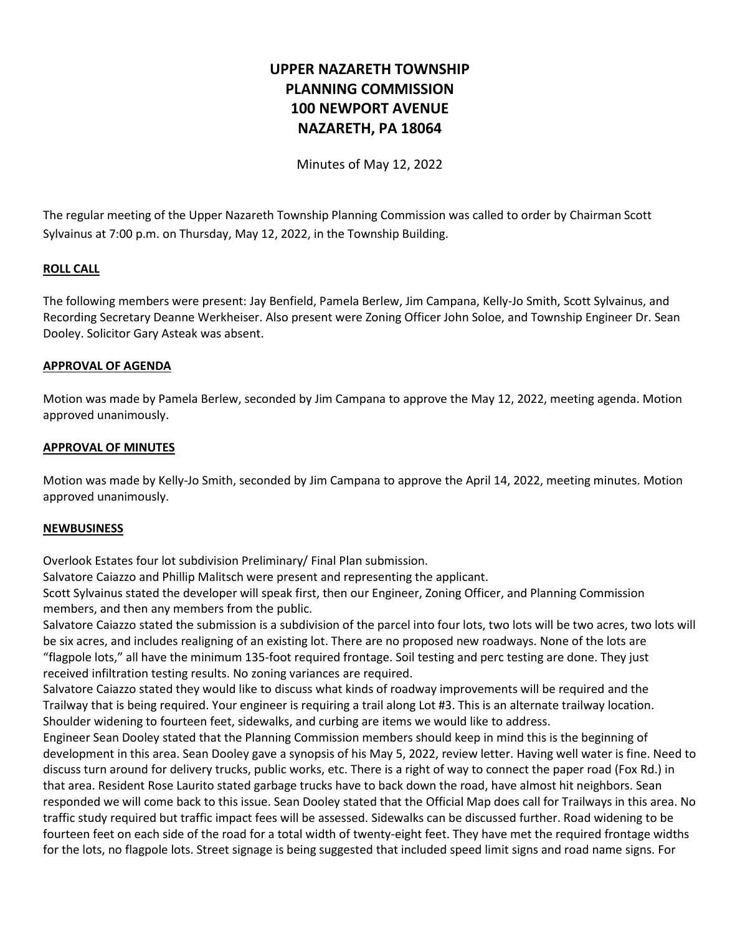# **UPPER NAZARETH TOWNSHIP PLANNING COMMISSION 100 NEWPORT AVENUE NAZARETH, PA 18064**

Minutes of May 12, 2022

The regular meeting of the Upper Nazareth Township Planning Commission was called to order by Chairman Scott Sylvainus at 7:00 p.m. on Thursday, May 12, 2022, in the Township Building.

## **ROLL CALL**

The following members were present: Jay Benfield, Pamela Berlew, Jim Campana, Kelly-Jo Smith, Scott Sylvainus, and Recording Secretary Deanne Werkheiser. Also present were Zoning Officer John Soloe, and Township Engineer Dr. Sean Dooley. Solicitor Gary Asteak was absent.

## **APPROVAL OF AGENDA**

Motion was made by Pamela Berlew, seconded by Jim Campana to approve the May 12, 2022, meeting agenda. Motion approved unanimously.

### **APPROVAL OF MINUTES**

Motion was made by Kelly-Jo Smith, seconded by Jim Campana to approve the April 14, 2022, meeting minutes. Motion approved unanimously.

#### **NEWBUSINESS**

Overlook Estates four lot subdivision Preliminary/ Final Plan submission.

Salvatore Caiazzo and Phillip Malitsch were present and representing the applicant.

Scott Sylvainus stated the developer will speak first, then our Engineer, Zoning Officer, and Planning Commission members, and then any members from the public.

Salvatore Caiazzo stated the submission is a subdivision of the parcel into four lots, two lots will be two acres, two lots will be six acres, and includes realigning of an existing lot. There are no proposed new roadways. None of the lots are "flagpole lots," all have the minimum 135-foot required frontage. Soil testing and perc testing are done. They just received infiltration testing results. No zoning variances are required.

Salvatore Caiazzo stated they would like to discuss what kinds of roadway improvements will be required and the Trailway that is being required. Your engineer is requiring a trail along Lot #3. This is an alternate trailway location. Shoulder widening to fourteen feet, sidewalks, and curbing are items we would like to address.

Engineer Sean Dooley stated that the Planning Commission members should keep in mind this is the beginning of development in this area. Sean Dooley gave a synopsis of his May 5, 2022, review letter. Having well water is fine. Need to discuss turn around for delivery trucks, public works, etc. There is a right of way to connect the paper road (Fox Rd.) in that area. Resident Rose Laurito stated garbage trucks have to back down the road, have almost hit neighbors. Sean responded we will come back to this issue. Sean Dooley stated that the Official Map does call for Trailways in this area. No traffic study required but traffic impact fees will be assessed. Sidewalks can be discussed further. Road widening to be fourteen feet on each side of the road for a total width of twenty-eight feet. They have met the required frontage widths for the lots, no flagpole lots. Street signage is being suggested that included speed limit signs and road name signs. For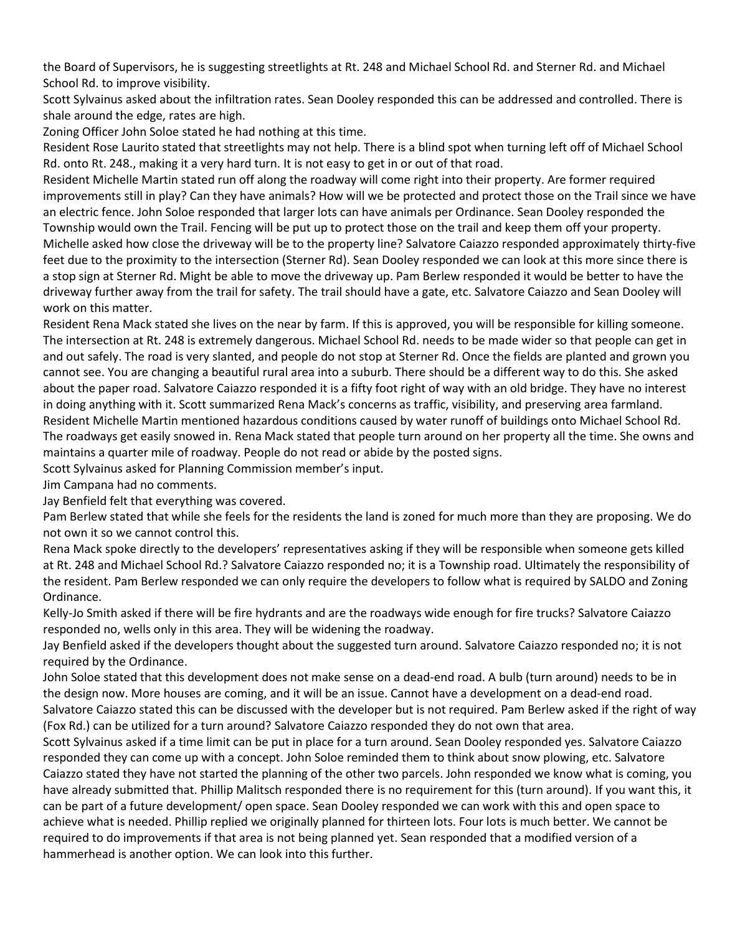the Board of Supervisors, he is suggesting streetlights at Rt. 248 and Michael School Rd. and Sterner Rd. and Michael School Rd. to improve visibility.

Scott Sylvainus asked about the infiltration rates. Sean Dooley responded this can be addressed and controlled. There is shale around the edge, rates are high.

Zoning Officer John Soloe stated he had nothing at this time.

Resident Rose Laurito stated that streetlights may not help. There is a blind spot when turning left off of Michael School Rd. onto Rt. 248., making it a very hard turn. It is not easy to get in or out of that road.

Resident Michelle Martin stated run off along the roadway will come right into their property. Are former required improvements still in play? Can they have animals? How will we be protected and protect those on the Trail since we have an electric fence. John Soloe responded that larger lots can have animals per Ordinance. Sean Dooley responded the Township would own the Trail. Fencing will be put up to protect those on the trail and keep them off your property. Michelle asked how close the driveway will be to the property line? Salvatore Caiazzo responded approximately thirty-five feet due to the proximity to the intersection (Sterner Rd). Sean Dooley responded we can look at this more since there is a stop sign at Sterner Rd. Might be able to move the driveway up. Pam Berlew responded it would be better to have the driveway further away from the trail for safety. The trail should have a gate, etc. Salvatore Caiazzo and Sean Dooley will work on this matter.

Resident Rena Mack stated she lives on the near by farm. If this is approved, you will be responsible for killing someone. The intersection at Rt. 248 is extremely dangerous. Michael School Rd. needs to be made wider so that people can get in and out safely. The road is very slanted, and people do not stop at Sterner Rd. Once the fields are planted and grown you cannot see. You are changing a beautiful rural area into a suburb. There should be a different way to do this. She asked about the paper road. Salvatore Caiazzo responded it is a fifty foot right of way with an old bridge. They have no interest in doing anything with it. Scott summarized Rena Mack's concerns as traffic, visibility, and preserving area farmland. Resident Michelle Martin mentioned hazardous conditions caused by water runoff of buildings onto Michael School Rd. The roadways get easily snowed in. Rena Mack stated that people turn around on her property all the time. She owns and maintains a quarter mile of roadway. People do not read or abide by the posted signs.

Scott Sylvainus asked for Planning Commission member's input.

Jim Campana had no comments.

Jay Benfield felt that everything was covered.

Pam Berlew stated that while she feels for the residents the land is zoned for much more than they are proposing. We do not own it so we cannot control this.

Rena Mack spoke directly to the developers' representatives asking if they will be responsible when someone gets killed at Rt. 248 and Michael School Rd.? Salvatore Caiazzo responded no; it is a Township road. Ultimately the responsibility of the resident. Pam Berlew responded we can only require the developers to follow what is required by SALDO and Zoning Ordinance.

Kelly-Jo Smith asked if there will be fire hydrants and are the roadways wide enough for fire trucks? Salvatore Caiazzo responded no, wells only in this area. They will be widening the roadway.

Jay Benfield asked if the developers thought about the suggested turn around. Salvatore Caiazzo responded no; it is not required by the Ordinance.

John Soloe stated that this development does not make sense on a dead-end road. A bulb (turn around) needs to be in the design now. More houses are coming, and it will be an issue. Cannot have a development on a dead-end road. Salvatore Caiazzo stated this can be discussed with the developer but is not required. Pam Berlew asked if the right of way (Fox Rd.) can be utilized for a turn around? Salvatore Caiazzo responded they do not own that area.

Scott Sylvainus asked if a time limit can be put in place for a turn around. Sean Dooley responded yes. Salvatore Caiazzo responded they can come up with a concept. John Soloe reminded them to think about snow plowing, etc. Salvatore Caiazzo stated they have not started the planning of the other two parcels. John responded we know what is coming, you have already submitted that. Phillip Malitsch responded there is no requirement for this (turn around). If you want this, it can be part of a future development/ open space. Sean Dooley responded we can work with this and open space to achieve what is needed. Phillip replied we originally planned for thirteen lots. Four lots is much better. We cannot be required to do improvements if that area is not being planned yet. Sean responded that a modified version of a hammerhead is another option. We can look into this further.